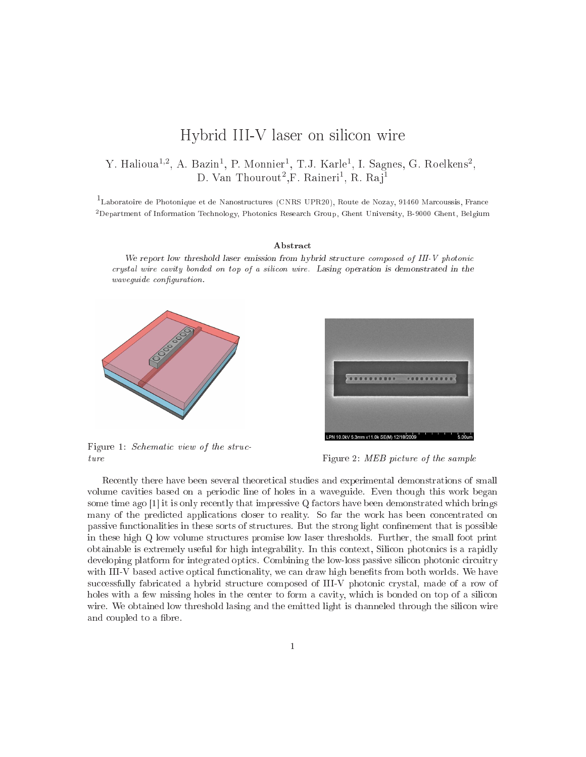## Hybrid III-V laser on sili
on wire

## Y. Halioua<sup>1,2</sup>, A. Bazin<sup>1</sup>, P. Monnier<sup>1</sup>, T.J. Karle<sup>1</sup>, I. Sagnes, G. Roelkens<sup>2</sup>, D. Van Thourout<sup>2</sup>.F. Raineri<sup>1</sup>, R. Rai<sup>1</sup>

1<br>Laboratoire de Photonique et de Nanostructures (CNRS UPR20), Route de Nozay, 91460 Marcoussis, France <sup>2</sup>Department of Information Technology, Photonics Research Group, Ghent University, B-9000 Ghent, Belgium

## Abstra
t

we report it is the most dimension through the structure of  $\alpha$  is the structure of  $\alpha$  and  $\alpha$  and  $\alpha$  photonical rystal wire avity bonded on top of <sup>a</sup> sili
on wire . Lasing operation is demonstrated in the wave a special contract of the contract of the contract of the contract of the contract of the contract of the



Figure 1: Schematic view of the structure Figure 2: MEB picture of the sample



Recently there have been several theoretical studies and experimental demonstrations of small volume cavities based on a periodic line of holes in a waveguide. Even though this work began some time ago  $[1]$  it is only recently that impressive Q factors have been demonstrated which brings many of the predicted applications closer to reality. So far the work has been concentrated on passive functionalities in these sorts of structures. But the strong light confinement that is possible in these high Q low volume structures promise low laser thresholds. Further, the small foot print obtainable is extremely useful for high integrability. In this context, Silicon photonics is a rapidly developing platform for integrated optics. Combining the low-loss passive silicon photonic circuitry with III-V based active optical functionality, we can draw high benefits from both worlds. We have successfully fabricated a hybrid structure composed of III-V photonic crystal, made of a row of holes with a few missing holes in the center to form a cavity, which is bonded on top of a silicon wire. We obtained low threshold lasing and the emitted light is channeled through the silicon wire and coupled to a fibre.